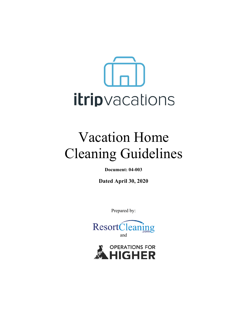

# Vacation Home Cleaning Guidelines

**Document: 04-003**

**Dated April 30, 2020**

Prepared by:



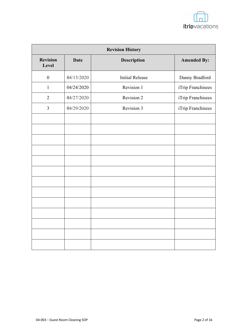

| <b>Revision History</b>  |             |                        |                    |
|--------------------------|-------------|------------------------|--------------------|
| <b>Revision</b><br>Level | <b>Date</b> | Description            | <b>Amended By:</b> |
| $\boldsymbol{0}$         | 04/15/2020  | <b>Initial Release</b> | Danny Bradford     |
| $\mathbf{1}$             | 04/24/2020  | Revision 1             | iTrip Franchisees  |
| $\overline{2}$           | 04/27/2020  | Revision 2             | iTrip Franchisees  |
| $\overline{3}$           | 04/29/2020  | Revision 3             | iTrip Franchisees  |
|                          |             |                        |                    |
|                          |             |                        |                    |
|                          |             |                        |                    |
|                          |             |                        |                    |
|                          |             |                        |                    |
|                          |             |                        |                    |
|                          |             |                        |                    |
|                          |             |                        |                    |
|                          |             |                        |                    |
|                          |             |                        |                    |
|                          |             |                        |                    |
|                          |             |                        |                    |
|                          |             |                        |                    |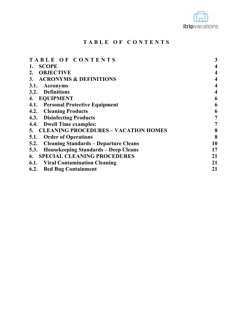

# **TABLE OF CONTENTS**

| TABLE OF CONTENTS                                    | 3                        |
|------------------------------------------------------|--------------------------|
| <b>SCOPE</b>                                         | $\overline{\mathcal{A}}$ |
| <b>OBJECTIVE</b><br>2.                               | $\overline{\mathcal{A}}$ |
| 3. ACRONYMS & DEFINITIONS                            | $\overline{\mathcal{A}}$ |
| 3.1.<br><b>Acronyms</b>                              | $\overline{\mathcal{A}}$ |
| 3.2. Definitions                                     | $\overline{\mathcal{A}}$ |
| 4. EQUIPMENT                                         | 6                        |
| 4.1. Personal Protective Equipment                   | 6                        |
| <b>4.2. Cleaning Products</b>                        | 6                        |
| 4.3. Disinfecting Products                           | 7                        |
| 4.4. Dwell Time examples:                            | 7                        |
| 5. CLEANING PROCEDURES - VACATION HOMES              | 8                        |
| <b>Order of Operations</b><br>5.1.                   | 8                        |
| <b>Cleaning Standards - Departure Cleans</b><br>5.2. | 10                       |
| <b>Housekeeping Standards - Deep Cleans</b><br>5.3.  | 17                       |
| <b>6. SPECIAL CLEANING PROCEDURES</b>                | 21                       |
| <b>6.1. Viral Contamination Cleaning</b>             | 21                       |
| 6.2.<br><b>Bed Bug Containment</b>                   | 21                       |
|                                                      |                          |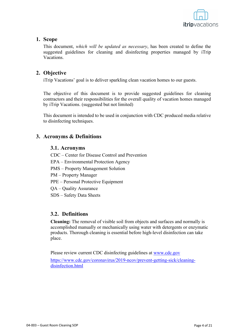

### **1. Scope**

This document, *which will be updated as necessary*, has been created to define the suggested guidelines for cleaning and disinfecting properties managed by iTrip Vacations.

## **2. Objective**

iTrip Vacations' goal is to deliver sparkling clean vacation homes to our guests.

The objective of this document is to provide suggested guidelines for cleaning contractors and their responsibilities for the overall quality of vacation homes managed by iTrip Vacations. (suggested but not limited)

This document is intended to be used in conjunction with CDC produced media relative to disinfecting techniques.

## **3. Acronyms & Definitions**

#### **3.1. Acronyms**

CDC – Center for Disease Control and Prevention

EPA – Environmental Protection Agency

PMS – Property Management Solution

PM – Property Manager

PPE – Personal Protective Equipment

QA – Quality Assurance

SDS – Safety Data Sheets

## **3.2. Definitions**

**Cleaning:** The removal of visible soil from objects and surfaces and normally is accomplished manually or mechanically using water with detergents or enzymatic products. Thorough cleaning is essential before high-level disinfection can take place.

Please review current CDC disinfecting guidelines at www.cdc.gov

https://www.cdc.gov/coronavirus/2019-ncov/prevent-getting-sick/cleaningdisinfection.html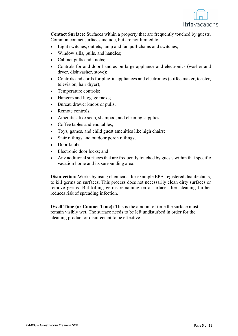

**Contact Surface:** Surfaces within a property that are frequently touched by guests. Common contact surfaces include, but are not limited to:

- Light switches, outlets, lamp and fan pull-chains and switches;
- Window sills, pulls, and handles;
- Cabinet pulls and knobs;
- Controls for and door handles on large appliance and electronics (washer and dryer, dishwasher, stove);
- Controls and cords for plug-in appliances and electronics (coffee maker, toaster, television, hair dryer);
- Temperature controls;
- Hangers and luggage racks;
- Bureau drawer knobs or pulls;
- Remote controls:
- Amenities like soap, shampoo, and cleaning supplies;
- Coffee tables and end tables;
- Toys, games, and child guest amenities like high chairs;
- Stair railings and outdoor porch railings;
- Door knobs:
- Electronic door locks; and
- Any additional surfaces that are frequently touched by guests within that specific vacation home and its surrounding area.

**Disinfection:** Works by using chemicals, for example EPA-registered disinfectants, to kill germs on surfaces. This process does not necessarily clean dirty surfaces or remove germs. But killing germs remaining on a surface after cleaning further reduces risk of spreading infection.

**Dwell Time (or Contact Time):** This is the amount of time the surface must remain visibly wet. The surface needs to be left undisturbed in order for the cleaning product or disinfectant to be effective.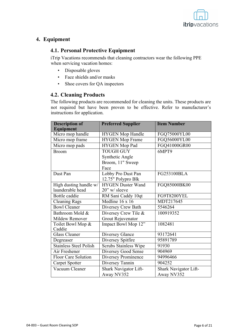

## **4. Equipment**

## **4.1. Personal Protective Equipment**

iTrip Vacations recommends that cleaning contractors wear the following PPE when servicing vacation homes:

- Disposable gloves
- Face shields and/or masks
- Shoe covers for QA inspectors

## **4.2. Cleaning Products**

The following products are recommended for cleaning the units. These products are not required but have been proven to be effective. Refer to manufacturer's instructions for application.

| <b>Description of</b><br>Equipment | <b>Preferred Supplier</b>    | <b>Item Number</b>    |
|------------------------------------|------------------------------|-----------------------|
| Micro mop handle                   | <b>HYGEN</b> Mop Handle      | FGQ75000YL00          |
| Micro mop frame                    | <b>HYGEN</b> Mop Frame       | FGQ56000YL00          |
| Micro mop pads                     | HYGEN Mop Pad                | FGQ41000GR00          |
| <b>Broom</b>                       | <b>TOUGH GUY</b>             | 6MPT9                 |
|                                    | Synthetic Angle              |                       |
|                                    | Broom, 11" Sweep             |                       |
|                                    | Face                         |                       |
| Dust Pan                           | Lobby Pro Dust Pan           | FG253100BLA           |
|                                    | 12.75" Polypro Blk           |                       |
| High dusting handle w/             | <b>HYGEN Duster Wand</b>     | FGQ85000BK00          |
| launderable head                   | $20$ " w/ sleeve             |                       |
| Bottle caddie                      | RM Sani Caddy 10qt           | FG9T8200YEL           |
| <b>Cleaning Rags</b>               | Medline $16 \times 16$       | MDT217645             |
| <b>Bowl Cleaner</b>                | Diversey Crew Bath           | 5546264               |
| Bathroom Mold &                    | Diversey Crew Tile &         | 100919352             |
| Mildew Remover                     | <b>Grout Rejuvenator</b>     |                       |
| Toilet Bowl Mop &                  | Impact Bowl Mop 12"          | 1082481               |
| Caddie                             |                              |                       |
| <b>Glass Cleaner</b>               | Diversey Glance              | 93172641              |
| Degreaser                          | Diversey Spitfire            | 95891789              |
| <b>Stainless Steel Polish</b>      | <b>Scrubs Stainless Wipe</b> | 91930                 |
| Air Freshener                      | Diversey Good Sense          | 904969                |
| Floor Care Solution                | Diversey Prominence          | 94996466              |
| Carpet Spotter                     | Diversey Tannin              | 904252                |
| Vacuum Cleaner                     | Shark Navigator Lift-        | Shark Navigator Lift- |
|                                    | Away NV352                   | Away NV352            |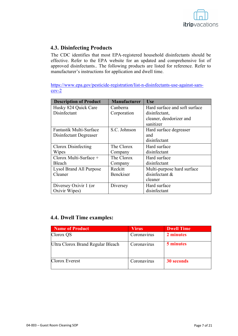

## **4.3. Disinfecting Products**

The CDC identifies that most EPA-registered household disinfectants should be effective. Refer to the EPA website for an updated and comprehensive list of approved disinfectants.. The following products are listed for reference. Refer to manufacturer's instructions for application and dwell time.

https://www.epa.gov/pesticide-registration/list-n-disinfectants-use-against-sarscov-2

| <b>Description of Product</b>  | <b>Manufacturer</b> | <b>Use</b>                    |
|--------------------------------|---------------------|-------------------------------|
| Husky 824 Quick Care           | Canberra            | Hard surface and soft surface |
| Disinfectant                   | Corporation         | disinfectant,                 |
|                                |                     | cleaner, deodorizer and       |
|                                |                     | sanitizer                     |
| Fantastik Multi-Surface        | S.C. Johnson        | Hard surface degreaser        |
| Disinfectant Degreaser         |                     | and                           |
|                                |                     | disinfectant                  |
| Clorox Disinfecting            | The Clorox          | Hard surface                  |
| Wipes                          | Company             | disinfectant                  |
| Clorox Multi-Surface +         | The Clorox          | Hard surface                  |
| <b>Bleach</b>                  | Company             | disinfectant                  |
| <b>Lysol Brand All Purpose</b> | Reckitt             | Multi-purpose hard surface    |
| Cleaner                        | Benckiser           | disinfectant $&$              |
|                                |                     | cleaner                       |
| Diversey Oxivir 1 (or          | Diversey            | Hard surface                  |
| Oxivir Wipes)                  |                     | disinfectant                  |

## **4.4. Dwell Time examples:**

| <b>Name of Product</b>            | <b>Virus</b> | <b>Dwell Time</b> |
|-----------------------------------|--------------|-------------------|
| Clorox QS                         | Coronavirus  | 2 minutes         |
| Ultra Clorox Brand Regular Bleach | Coronavirus  | 5 minutes         |
| Clorox Everest                    | Coronavirus  | <b>30 seconds</b> |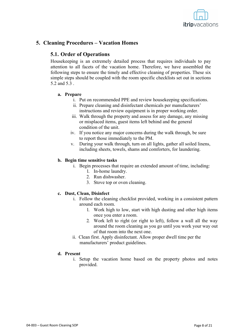

## **5. Cleaning Procedures – Vacation Homes**

## **5.1. Order of Operations**

Housekeeping is an extremely detailed process that requires individuals to pay attention to all facets of the vacation home. Therefore, we have assembled the following steps to ensure the timely and effective cleaning of properties. These six simple steps should be coupled with the room specific checklists set out in sections 5.2 and 5.3 .

#### **a. Prepare**

- i. Put on recommended PPE and review housekeeping specifications.
- ii. Prepare cleaning and disinfectant chemicals per manufacturers' instructions and review equipment is in proper working order.
- iii. Walk through the property and assess for any damage, any missing or misplaced items, guest items left behind and the general condition of the unit.
- iv. If you notice any major concerns during the walk through, be sure to report those immediately to the PM.
- v. During your walk through, turn on all lights, gather all soiled linens, including sheets, towels, shams and comforters, for laundering.

#### **b. Begin time sensitive tasks**

- i. Begin processes that require an extended amount of time, including:
	- 1. In-home laundry.
	- 2. Run dishwasher.
	- 3. Stove top or oven cleaning.

#### **c. Dust, Clean, Disinfect**

- i. Follow the cleaning checklist provided, working in a consistent pattern around each room.
	- 1. Work high to low, start with high dusting and other high items once you enter a room.
	- 2. Work left to right (or right to left), follow a wall all the way around the room cleaning as you go until you work your way out of that room into the next one.
- ii. Clean first. Apply disinfectant. Allow proper dwell time per the manufacturers' product guidelines.

#### **d. Present**

i. Setup the vacation home based on the property photos and notes provided.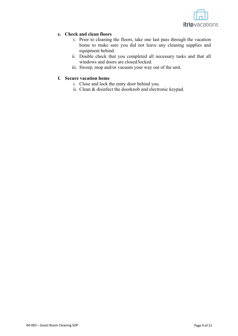

#### **e. Check and clean floors**

- i. Prior to cleaning the floors, take one last pass through the vacation home to make sure you did not leave any cleaning supplies and equipment behind.
- ii. Double check that you completed all necessary tasks and that all windows and doors are closed/locked.
- iii. Sweep, mop and/or vacuum your way out of the unit.

#### **f. Secure vacation home**

- i. Close and lock the entry door behind you.
- ii. Clean & disinfect the doorknob and electronic keypad.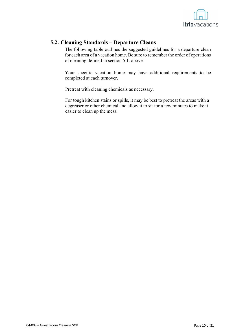

## **5.2. Cleaning Standards – Departure Cleans**

The following table outlines the suggested guidelines for a departure clean for each area of a vacation home. Be sure to remember the order of operations of cleaning defined in section 5.1. above.

Your specific vacation home may have additional requirements to be completed at each turnover.

Pretreat with cleaning chemicals as necessary.

For tough kitchen stains or spills, it may be best to pretreat the areas with a degreaser or other chemical and allow it to sit for a few minutes to make it easier to clean up the mess.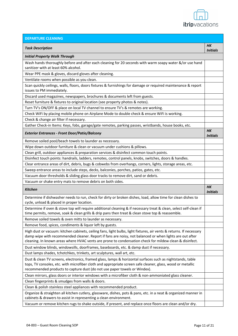

| <b>DEPARTURE CLEANING</b>                                                                                                                                                                                                                                                                                                                 |                        |
|-------------------------------------------------------------------------------------------------------------------------------------------------------------------------------------------------------------------------------------------------------------------------------------------------------------------------------------------|------------------------|
| <b>Task Description</b>                                                                                                                                                                                                                                                                                                                   | HК<br><b>Initials</b>  |
| <b>Initial Property Walk Through</b>                                                                                                                                                                                                                                                                                                      |                        |
| Wash hands thoroughly before and after each cleaning for 20 seconds with warm soapy water &/or use hand<br>sanitizer with at least 60% alcohol.                                                                                                                                                                                           |                        |
| Wear PPE mask & gloves, discard gloves after cleaning.                                                                                                                                                                                                                                                                                    |                        |
| Ventilate rooms when possible as you clean.                                                                                                                                                                                                                                                                                               |                        |
| Scan quickly ceilings, walls, floors, doors fixtures & furnishings for damage or required maintenance & report<br>issues to PM immediately.                                                                                                                                                                                               |                        |
| Discard used magazines, newspapers, brochures & documents left from guests.                                                                                                                                                                                                                                                               |                        |
| Reset furniture & fixtures to original location (see property photos & notes).                                                                                                                                                                                                                                                            |                        |
| Turn TV's ON/OFF & place on local TV channel to ensure TV's & remotes are working.                                                                                                                                                                                                                                                        |                        |
| Check WiFi by placing mobile phone on Airplane Mode to double check & ensure WiFi is working.                                                                                                                                                                                                                                             |                        |
| Check & change air filter if necessary.                                                                                                                                                                                                                                                                                                   |                        |
| Gather Check-in Items: Keys, fobs, garage/gate remotes, parking passes, wristbands, house books, etc.                                                                                                                                                                                                                                     |                        |
| <b>Exterior Entrances - Front Door/Patio/Balcony</b>                                                                                                                                                                                                                                                                                      | H K<br><b>Initials</b> |
| Remove soiled pool/beach towels to launder as necessary.                                                                                                                                                                                                                                                                                  |                        |
| Wipe down outdoor furniture & clean or vacuum under cushions & pillows.                                                                                                                                                                                                                                                                   |                        |
| Clean grill, outdoor appliances & preparation services & disinfect common touch points.                                                                                                                                                                                                                                                   |                        |
| Disinfect touch points: handrails, ladders, remotes, control panels, knobs, switches, doors & handles.                                                                                                                                                                                                                                    |                        |
| Clear entrance areas of dirt, debris, bugs & cobwebs from overhangs, corners, lights, storage areas, etc.                                                                                                                                                                                                                                 |                        |
| Sweep entrance areas to include steps, decks, balconies, porches, patios, gates, etc.                                                                                                                                                                                                                                                     |                        |
| Vacuum door thresholds & sliding glass door tracks to remove dirt, sand or debris.                                                                                                                                                                                                                                                        |                        |
| Vacuum or shake entry mats to remove debris on both sides.                                                                                                                                                                                                                                                                                |                        |
| <b>Kitchen</b>                                                                                                                                                                                                                                                                                                                            | HK<br><b>Initials</b>  |
| Determine if dishwasher needs to run, check for dirty or broken dishes, load, allow time for clean dishes to<br>cycle, unload & placed in proper location.                                                                                                                                                                                |                        |
| Determine if oven & stove top will require additional cleaning & if necessary treat & clean, select self-clean if<br>time permits, remove, soak & clean grills & drip pans then treat & clean stove top & reassemble.                                                                                                                     |                        |
| Remove soiled towels & oven mitts to launder as necessary.                                                                                                                                                                                                                                                                                |                        |
| Remove food, spices, condiments & liquor left by guests.                                                                                                                                                                                                                                                                                  |                        |
| High dust or vacuum: kitchen cabinets, ceiling fans, light bulbs, light fixtures, air vents & returns. If necessary<br>damp wipe with recommended cleaner. Report if fans are noisy, not balanced or when lights are out after<br>cleaning. In known areas where HVAC vents are prone to condensation check for mildew clean & disinfect. |                        |
| Dust window blinds, windowsills, doorframes, baseboards, etc. & damp dust if necessary.                                                                                                                                                                                                                                                   |                        |
| Dust lamps shades, tchotchkes, trinkets, art sculptures, wall art, etc.                                                                                                                                                                                                                                                                   |                        |
| Dust & clean TV screens, electronics, framed glass, lamps & horizontal surfaces such as nightstands, table<br>tops, TV consoles, etc. with microfiber cloth and appropriate screen safe cleaner, glass, wood or metallic<br>recommended products to capture dust (do not use paper towels or Windex).                                     |                        |
| Clean mirrors, glass doors or interior windows with a microfiber cloth & non-ammoniated glass cleaner.                                                                                                                                                                                                                                    |                        |
| Clean fingerprints & smudges from walls & doors.                                                                                                                                                                                                                                                                                          |                        |
| Clean & polish stainless steel appliances with recommended product.                                                                                                                                                                                                                                                                       |                        |
| Organize & straighten all kitchen cutlery, glassware, dishes, pots & pans, etc. in a neat & organized manner in<br>cabinets & drawers to assist in representing a clean environment.                                                                                                                                                      |                        |
| Vacuum or remove kitchen rugs to shake outside, if present, and replace once floors are clean and/or dry.                                                                                                                                                                                                                                 |                        |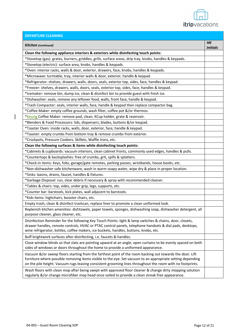

| <b>DEPARTURE CLEANING</b>                                                                                                                                                                                                                                                                                                           |                              |
|-------------------------------------------------------------------------------------------------------------------------------------------------------------------------------------------------------------------------------------------------------------------------------------------------------------------------------------|------------------------------|
| Kitchen (continued)                                                                                                                                                                                                                                                                                                                 | <b>HK</b><br><b>Initials</b> |
| Clean the following appliance interiors & exteriors while disinfecting touch points:                                                                                                                                                                                                                                                |                              |
| *Stovetop (gas): grates, burners, griddles, grills, surface areas, drip tray, knobs, handles & keypads.                                                                                                                                                                                                                             |                              |
| *Stovetop (electric): surface area, knobs, handles & keypads.                                                                                                                                                                                                                                                                       |                              |
| *Oven: interior racks, walls & door, exterior, drawers, face, knobs, handles & keypads.                                                                                                                                                                                                                                             |                              |
| *Microwave: turntable, tray, interior walls & door, exterior, handle & keypad.                                                                                                                                                                                                                                                      |                              |
| *Refrigerator: shelves, drawers, walls, doors, seals, exterior top, sides, face, handles & keypad.                                                                                                                                                                                                                                  |                              |
| *Freezer: shelves, drawers, walls, doors, seals, exterior top, sides, face, handles & keypad.                                                                                                                                                                                                                                       |                              |
| *Icemaker: remove bin, dump ice, clean & disinfect bin to provide guest with fresh ice.                                                                                                                                                                                                                                             |                              |
| *Dishwasher: seals, remove any leftover food, walls, front face, handle & keypad.                                                                                                                                                                                                                                                   |                              |
| *Trash Compactor: seals, interior walls, face, handle & keypad then replace compactor bag.                                                                                                                                                                                                                                          |                              |
| *Coffee Maker: empty coffee grounds, wash filter, coffee pot &/or thermos.                                                                                                                                                                                                                                                          |                              |
| *Keurig Coffee Maker: remove pod, clean, KCup holder, grate & reservoir.                                                                                                                                                                                                                                                            |                              |
| *Blenders & Food Processors: lids, dispensers, blades, buttons &/or keypad.                                                                                                                                                                                                                                                         |                              |
| *Toaster Oven: inside racks, walls, door, exterior, face, handle & keypad.                                                                                                                                                                                                                                                          |                              |
| *Toaster: empty crumbs from bottom tray & remove crumbs from exterior.                                                                                                                                                                                                                                                              |                              |
| *Crockpots, Pressure Cookers, Skillets, Waffle Irons, etc.                                                                                                                                                                                                                                                                          |                              |
| Clean the following surfaces & items while disinfecting touch points:                                                                                                                                                                                                                                                               |                              |
| *Cabinets & cupboards: vacuum interiors, clean cabinet fronts, commonly used edges, handles & pulls.                                                                                                                                                                                                                                |                              |
| *Countertops & backsplashes: free of crumbs, grit, spills & splatters.                                                                                                                                                                                                                                                              |                              |
| *Check-in items: Keys, fobs, garage/gate remotes, parking passes, wristbands, house books, etc.                                                                                                                                                                                                                                     |                              |
| *Non-dishwasher safe kitchenware, wash in warm soapy water, wipe dry & place in proper location.                                                                                                                                                                                                                                    |                              |
| *Sinks: basins, drains, faucet, handles & fixtures.                                                                                                                                                                                                                                                                                 |                              |
| *Garbage Disposal: run, clear debris if necessary & spray with recommended cleaner.                                                                                                                                                                                                                                                 |                              |
| *Tables & chairs: top, sides, under grip, legs, supports, etc.                                                                                                                                                                                                                                                                      |                              |
| *Counter bar: barstools, kick plates, wall adjacent to barstools.                                                                                                                                                                                                                                                                   |                              |
| *Kids items: highchairs, booster chairs, etc.                                                                                                                                                                                                                                                                                       |                              |
| Empty trash, clean & disinfect trashcan, replace liner to promote a clean uniformed look.                                                                                                                                                                                                                                           |                              |
| Replenish kitchen amenities: dishtowels, paper towels, sponges, dishwashing soap, dishwasher detergent, all<br>purpose cleaner, glass cleaner, etc.                                                                                                                                                                                 |                              |
| Disinfection Reminder for the following Key Touch Points: light & lamp switches & chains, door, closets,<br>drawer handles, remote controls, HVAC or PTAC control panels, telephone handsets & dial pads, desktops,<br>wine refrigerator, kettles, coffee makers, ice buckets, handles, buttons, knobs, etc.                        |                              |
| Buff brightwork surfaces after disinfecting, i.e. faucets & handles.                                                                                                                                                                                                                                                                |                              |
| Close window blinds so that slats are pointing upward at an angle, open curtains to be evenly spaced on both<br>sides of windows or doors throughout the home to provide a uniformed appearance.                                                                                                                                    |                              |
| Vacuum &/or sweep floors starting from the farthest point of the room backing out towards the door. Lift<br>furniture where possible removing items visible to the eye. Set vacuum to an appropriate setting depending<br>on the pile height. Vacuum rugs leaving consistent grooming lines throughout the room with no footprints. |                              |
| Wash floors with clean mop after being swept with approved floor cleaner & change dirty mopping solution<br>regularly &/or change microfiber mop head once soiled to provide a clean streak free appearance.                                                                                                                        |                              |

 $\overline{\phantom{a}}$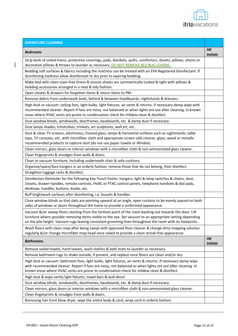

| <b>DEPARTURE CLEANING</b>                                                                                                                                                                                                                                                                                                           |                       |
|-------------------------------------------------------------------------------------------------------------------------------------------------------------------------------------------------------------------------------------------------------------------------------------------------------------------------------------|-----------------------|
| <b>Bedrooms</b>                                                                                                                                                                                                                                                                                                                     | HК<br><b>Initials</b> |
| Strip beds of soiled linens, protective coverings, pads, blankets, quilts, comforters, duvets, pillows, shams or<br>decorative pillows & throws to launder as necessary. DO NOT REMOVE BED BUG COVERS.                                                                                                                              |                       |
| Bedding soft surfaces & fabrics including the mattress can be treated with an EPA Registered Disinfectant. If<br>disinfecting mattress allow disinfectant to dry prior to layering bedding.                                                                                                                                         |                       |
| Make bed with clean stain-free linens & ensure sheets are symmetrically tucked & tight with pillows &<br>bedding accessories arranged in a neat & tidy fashion.                                                                                                                                                                     |                       |
| Open closets & drawers for forgotten items & return items to PM.                                                                                                                                                                                                                                                                    |                       |
| Remove debris from underneath beds, behind & between headboards, nightstands & dressers.                                                                                                                                                                                                                                            |                       |
| High dust or vacuum: ceiling fans, light bulbs, light fixtures, air vents & returns. If necessary damp wipe with<br>recommended cleaner. Report if fans are noisy, not balanced or when lights are out after cleaning. In known<br>areas where HVAC vents are prone to condensation check for mildew clean & disinfect.             |                       |
| Dust window blinds, windowsills, doorframes, baseboards, etc. & damp dust if necessary.                                                                                                                                                                                                                                             |                       |
| Dust lamps shades, tchotchkes, trinkets, art sculptures, wall art, etc.                                                                                                                                                                                                                                                             |                       |
| Dust & clean TV screens, electronics, framed glass, lamps & horizontal surfaces such as nightstands, table<br>tops, TV consoles, etc. with microfiber cloth and appropriate screen safe cleaner, glass, wood or metallic<br>recommended products to capture dust (do not use paper towels or Windex).                               |                       |
| Clean mirrors, glass doors or interior windows with a microfiber cloth & non-ammoniated glass cleaner.                                                                                                                                                                                                                              |                       |
| Clean fingerprints & smudges from walls & doors.                                                                                                                                                                                                                                                                                    |                       |
| Clean or vacuum furniture, including underneath chair & sofa cushions.                                                                                                                                                                                                                                                              |                       |
| Organize/space/face hangers in an orderly fashion, remove those that do not belong, then disinfect.                                                                                                                                                                                                                                 |                       |
| Straighten luggage racks & disinfect.                                                                                                                                                                                                                                                                                               |                       |
| Disinfection Reminder for the following Key Touch Points: hangers, light & lamp switches & chains, door,<br>closets, drawer handles, remote controls, HVAC or PTAC control panels, telephone handsets & dial pads,<br>desktops, handles, buttons, knobs, etc.                                                                       |                       |
| Buff brightwork surfaces after disinfecting, i.e. faucets & handles.                                                                                                                                                                                                                                                                |                       |
| Close window blinds so that slats are pointing upward at an angle, open curtains to be evenly spaced on both<br>sides of windows or doors throughout the home to provide a uniformed appearance.                                                                                                                                    |                       |
| Vacuum &/or sweep floors starting from the farthest point of the room backing out towards the door. Lift<br>furniture where possible removing items visible to the eye. Set vacuum to an appropriate setting depending<br>on the pile height. Vacuum rugs leaving consistent grooming lines throughout the room with no footprints. |                       |
| Wash floors with clean mop after being swept with approved floor cleaner & change dirty mopping solution<br>regularly &/or change microfiber mop head once soiled to provide a clean streak free appearance.                                                                                                                        |                       |
| <b>Bathrooms</b>                                                                                                                                                                                                                                                                                                                    | HK<br><b>Initials</b> |
| Remove soiled towels, hand towels, wash clothes & bath mats to launder as necessary.                                                                                                                                                                                                                                                |                       |
| Remove bathroom rugs to shake outside, if present, and replace once floors are clean and/or dry.                                                                                                                                                                                                                                    |                       |
| High dust or vacuum: bathroom fans, light bulbs, light fixtures, air vents & returns. If necessary damp wipe<br>with recommended cleaner. Report if fans are noisy, not balanced or when lights are out after cleaning. In<br>known areas where HVAC vents are prone to condensation check for mildew clean & disinfect.            |                       |
| High dust & wipe vanity light fixtures, towel bars & wall decor.                                                                                                                                                                                                                                                                    |                       |
| Dust window blinds, windowsills, doorframes, baseboards, etc. & damp dust if necessary.                                                                                                                                                                                                                                             |                       |
| Clean mirrors, glass doors or interior windows with a microfiber cloth & non-ammoniated glass cleaner.                                                                                                                                                                                                                              |                       |
| Clean fingerprints & smudges from walls & doors.                                                                                                                                                                                                                                                                                    |                       |
| Removing hair from blow dryer, wipe the entire body & cord, wrap cord in orderly fashion.                                                                                                                                                                                                                                           |                       |

 $\begin{array}{c} \rule{0pt}{2ex} \rule{0pt}{2ex} \rule{0pt}{2ex} \rule{0pt}{2ex} \rule{0pt}{2ex} \rule{0pt}{2ex} \rule{0pt}{2ex} \rule{0pt}{2ex} \rule{0pt}{2ex} \rule{0pt}{2ex} \rule{0pt}{2ex} \rule{0pt}{2ex} \rule{0pt}{2ex} \rule{0pt}{2ex} \rule{0pt}{2ex} \rule{0pt}{2ex} \rule{0pt}{2ex} \rule{0pt}{2ex} \rule{0pt}{2ex} \rule{0pt}{2ex} \rule{0pt}{2ex} \rule{0pt}{2ex} \rule{0pt}{2ex} \rule{0pt}{$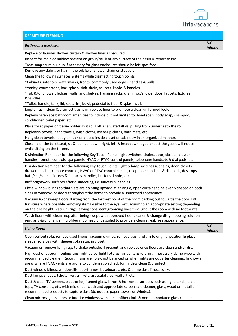

| <b>DEPARTURE CLEANING</b>                                                                                                                                                                                                                                                                                                           |                        |
|-------------------------------------------------------------------------------------------------------------------------------------------------------------------------------------------------------------------------------------------------------------------------------------------------------------------------------------|------------------------|
| <b>Bathrooms</b> (continued)                                                                                                                                                                                                                                                                                                        | HК<br><b>Initials</b>  |
| Replace or launder shower curtain & shower liner as required.                                                                                                                                                                                                                                                                       |                        |
| Inspect for mold or mildew present on grout/caulk or any surface of the basin & report to PM.                                                                                                                                                                                                                                       |                        |
| Treat soap scum buildup if necessary for glass enclosures should be left spot free.                                                                                                                                                                                                                                                 |                        |
| Remove any debris or hair in the tub &/or shower drain or stopper.                                                                                                                                                                                                                                                                  |                        |
| Clean the following surfaces & items while disinfecting touch points:                                                                                                                                                                                                                                                               |                        |
| *Cabinets: interiors, watermarks, fronts, commonly used edges, handles & pulls.                                                                                                                                                                                                                                                     |                        |
| *Vanity: countertops, backsplash, sink, drain, faucets, knobs & handles.                                                                                                                                                                                                                                                            |                        |
| *Tub &/or Shower: ledges, walls, and shelves, hanging racks, drain, rod/shower door, faucets, fixtures<br>&handles.                                                                                                                                                                                                                 |                        |
| *Toilet: handle, tank, lid, seat, rim, bowl, pedestal to floor & splash wall.                                                                                                                                                                                                                                                       |                        |
| Empty trash, clean & disinfect trashcan, replace liner to promote a clean uniformed look.                                                                                                                                                                                                                                           |                        |
| Replenish/replace bathroom amenities to include but not limited to: hand soap, body soap, shampoo,<br>conditioner, toilet paper, etc.                                                                                                                                                                                               |                        |
| Place toilet paper on tissue holder so it rolls off as a waterfall vs. pulling from underneath the roll.                                                                                                                                                                                                                            |                        |
| Replenish towels, hand towels, wash cloths, make-up cloths, bath mats, etc.                                                                                                                                                                                                                                                         |                        |
| Hang clean towels neatly on rack or placed inside closet or cabinetry in an organized manner.                                                                                                                                                                                                                                       |                        |
| Close lid of the toilet seat, sit & look up, down, right, left & inspect what you expect the guest will notice<br>while sitting on the throne.                                                                                                                                                                                      |                        |
| Disinfection Reminder for the following Key Touch Points: light switches, chains, door, closets, drawer<br>handles, remote controls, spa panels, HVAC or PTAC control panels, telephone handsets & dial pads, etc.                                                                                                                  |                        |
| Disinfection Reminder for the following Key Touch Points: light & lamp switches & chains, door, closets,<br>drawer handles, remote controls, HVAC or PTAC control panels, telephone handsets & dial pads, desktops,<br>bath/spa/sauna fixtures & features, handles, buttons, knobs, etc.                                            |                        |
| Buff brightwork surfaces after disinfecting, i.e. faucets & handles.                                                                                                                                                                                                                                                                |                        |
| Close window blinds so that slats are pointing upward at an angle, open curtains to be evenly spaced on both<br>sides of windows or doors throughout the home to provide a uniformed appearance.                                                                                                                                    |                        |
| Vacuum &/or sweep floors starting from the farthest point of the room backing out towards the door. Lift<br>furniture where possible removing items visible to the eye. Set vacuum to an appropriate setting depending<br>on the pile height. Vacuum rugs leaving consistent grooming lines throughout the room with no footprints. |                        |
| Wash floors with clean mop after being swept with approved floor cleaner & change dirty mopping solution<br>regularly &/or change microfiber mop head once soiled to provide a clean streak free appearance.                                                                                                                        |                        |
| <b>Living Room</b>                                                                                                                                                                                                                                                                                                                  | H K<br><b>Initials</b> |
| Open pullout sofa, remove used linens, vacuum crumbs, remove trash, return to original position & place<br>sleeper sofa bag with sleeper sofa setup in closet.                                                                                                                                                                      |                        |
| Vacuum or remove living rugs to shake outside, if present, and replace once floors are clean and/or dry.                                                                                                                                                                                                                            |                        |
| High dust or vacuum: ceiling fans, light bulbs, light fixtures, air vents & returns. If necessary damp wipe with                                                                                                                                                                                                                    |                        |
| recommended cleaner. Report if fans are noisy, not balanced or when lights are out after cleaning. In known<br>areas where HVAC vents are prone to condensation check for mildew clean & disinfect.                                                                                                                                 |                        |
| Dust window blinds, windowsills, doorframes, baseboards, etc. & damp dust if necessary.                                                                                                                                                                                                                                             |                        |
| Dust lamps shades, tchotchkes, trinkets, art sculptures, wall art, etc.                                                                                                                                                                                                                                                             |                        |
| Dust & clean TV screens, electronics, framed glass, lamps & horizontal surfaces such as nightstands, table<br>tops, TV consoles, etc. with microfiber cloth and appropriate screen safe cleaner, glass, wood or metallic<br>recommended products to capture dust (do not use paper towels or Windex).                               |                        |
| Clean mirrors, glass doors or interior windows with a microfiber cloth & non-ammoniated glass cleaner.                                                                                                                                                                                                                              |                        |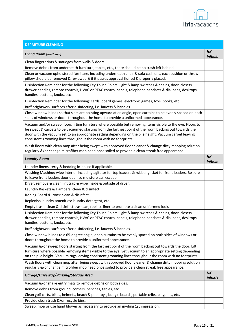

| <b>DEPARTURE CLEANING</b>                                                                                                                                                                                                                                                                                                                                                                             |                              |
|-------------------------------------------------------------------------------------------------------------------------------------------------------------------------------------------------------------------------------------------------------------------------------------------------------------------------------------------------------------------------------------------------------|------------------------------|
| <b>Living Room (continued)</b>                                                                                                                                                                                                                                                                                                                                                                        | HК<br><b>Initials</b>        |
| Clean fingerprints & smudges from walls & doors.                                                                                                                                                                                                                                                                                                                                                      |                              |
| Remove debris from underneath furniture, tables, etc., there should be no trash left behind.                                                                                                                                                                                                                                                                                                          |                              |
| Clean or vacuum upholstered furniture, including underneath chair & sofa cushions, each cushion or throw<br>pillow should be removed & reviewed & if it passes approval fluffed & properly placed.                                                                                                                                                                                                    |                              |
| Disinfection Reminder for the following Key Touch Points: light & lamp switches & chains, door, closets,<br>drawer handles, remote controls, HVAC or PTAC control panels, telephone handsets & dial pads, desktops,<br>handles, buttons, knobs, etc.                                                                                                                                                  |                              |
| Disinfection Reminder for the following: cards, board games, electronic games, toys, books, etc.                                                                                                                                                                                                                                                                                                      |                              |
| Buff brightwork surfaces after disinfecting, i.e. faucets & handles.                                                                                                                                                                                                                                                                                                                                  |                              |
| Close window blinds so that slats are pointing upward at an angle, open curtains to be evenly spaced on both<br>sides of windows or doors throughout the home to provide a uniformed appearance.                                                                                                                                                                                                      |                              |
| Vacuum and/or sweep floors lifting furniture where possible but removing items visible to the eye. Floors to<br>be swept & carpets to be vacuumed starting from the farthest point of the room backing out towards the<br>door with the vacuum set to an appropriate setting depending on the pile height. Vacuum carpet leaving<br>consistent grooming lines throughout the room with no footprints. |                              |
| Wash floors with clean mop after being swept with approved floor cleaner & change dirty mopping solution<br>regularly &/or change microfiber mop head once soiled to provide a clean streak free appearance.                                                                                                                                                                                          |                              |
| <b>Laundry Room</b>                                                                                                                                                                                                                                                                                                                                                                                   | <b>HK</b><br><b>Initials</b> |
| Launder linens, terry & bedding in-house if applicable.                                                                                                                                                                                                                                                                                                                                               |                              |
| Washing Machine: wipe interior including agitator for top loaders & rubber gasket for front loaders. Be sure<br>to leave front loaders door open so moisture can escape.                                                                                                                                                                                                                              |                              |
| Dryer: remove & clean lint trap & wipe inside & outside of dryer.                                                                                                                                                                                                                                                                                                                                     |                              |
| Laundry Baskets & Hampers: clean & disinfect.                                                                                                                                                                                                                                                                                                                                                         |                              |
| Ironing Board & Irons: clean & disinfect.                                                                                                                                                                                                                                                                                                                                                             |                              |
| Replenish laundry amenities: laundry detergent, etc                                                                                                                                                                                                                                                                                                                                                   |                              |
| Empty trash, clean & disinfect trashcan, replace liner to promote a clean uniformed look.                                                                                                                                                                                                                                                                                                             |                              |
| Disinfection Reminder for the following Key Touch Points: light & lamp switches & chains, door, closets,<br>drawer handles, remote controls, HVAC or PTAC control panels, telephone handsets & dial pads, desktops,<br>handles, buttons, knobs, etc.                                                                                                                                                  |                              |
| Buff brightwork surfaces after disinfecting, i.e. faucets & handles.                                                                                                                                                                                                                                                                                                                                  |                              |
| Close window blinds to a 65-degree angle, open curtains to be evenly spaced on both sides of windows or<br>doors throughout the home to provide a uniformed appearance.                                                                                                                                                                                                                               |                              |
| Vacuum &/or sweep floors starting from the farthest point of the room backing out towards the door. Lift<br>furniture where possible removing items visible to the eye. Set vacuum to an appropriate setting depending<br>on the pile height. Vacuum rugs leaving consistent grooming lines throughout the room with no footprints.                                                                   |                              |
| Wash floors with clean mop after being swept with approved floor cleaner & change dirty mopping solution                                                                                                                                                                                                                                                                                              |                              |
| regularly &/or change microfiber mop head once soiled to provide a clean streak free appearance.                                                                                                                                                                                                                                                                                                      |                              |
| Garage/Driveway/Parking/Storage Area                                                                                                                                                                                                                                                                                                                                                                  | H K<br><b>Initials</b>       |
| Vacuum &/or shake entry mats to remove debris on both sides.                                                                                                                                                                                                                                                                                                                                          |                              |
| Remove debris from ground, corners, benches, tables, etc.                                                                                                                                                                                                                                                                                                                                             |                              |
| Clean golf carts, bikes, helmets, beach & pool toys, boogie boards, portable cribs, playpens, etc.                                                                                                                                                                                                                                                                                                    |                              |
| Provide clean trash &/or recycle bins.                                                                                                                                                                                                                                                                                                                                                                |                              |
| Sweep, mop or use hand blower as necessary to provide an inviting 1st impression.                                                                                                                                                                                                                                                                                                                     |                              |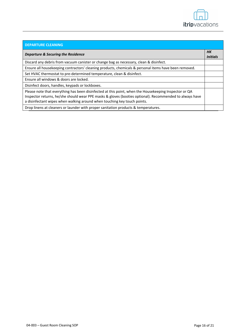

| <b>DEPARTURE CLEANING</b>                                                                                                                                                                                                                                                                    |                       |
|----------------------------------------------------------------------------------------------------------------------------------------------------------------------------------------------------------------------------------------------------------------------------------------------|-----------------------|
| Departure & Securing the Residence                                                                                                                                                                                                                                                           | HК<br><b>Initials</b> |
| Discard any debris from vacuum canister or change bag as necessary, clean & disinfect.                                                                                                                                                                                                       |                       |
| Ensure all housekeeping contractors' cleaning products, chemicals & personal items have been removed.                                                                                                                                                                                        |                       |
| Set HVAC thermostat to pre-determined temperature, clean & disinfect.                                                                                                                                                                                                                        |                       |
| Ensure all windows & doors are locked.                                                                                                                                                                                                                                                       |                       |
| Disinfect doors, handles, keypads or lockboxes.                                                                                                                                                                                                                                              |                       |
| Please note that everything has been disinfected at this point, when the Housekeeping Inspector or QA<br>Inspector returns, he/she should wear PPE masks & gloves (booties optional). Recommended to always have<br>a disinfectant wipes when walking around when touching key touch points. |                       |
| Drop linens at cleaners or launder with proper sanitation products & temperatures.                                                                                                                                                                                                           |                       |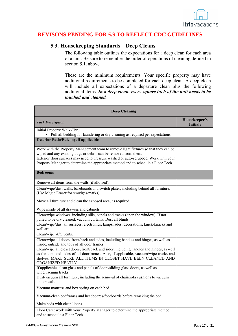

## **REVISONS PENDING FOR 5.3 TO REFLECT CDC GUIDELINES**

## **5.3. Housekeeping Standards – Deep Cleans**

The following table outlines the expectations for a deep clean for each area of a unit. Be sure to remember the order of operations of cleaning defined in section 5.1. above.

These are the minimum requirements. Your specific property may have additional requirements to be completed for each deep clean. A deep clean will include all expectations of a departure clean plus the following additional items. *In a deep clean, every square inch of the unit needs to be touched and cleaned.*

| <b>Deep Cleaning</b>                                                                                                                                                                                                                                                  |                                  |
|-----------------------------------------------------------------------------------------------------------------------------------------------------------------------------------------------------------------------------------------------------------------------|----------------------------------|
| <b>Task Description</b>                                                                                                                                                                                                                                               | Housekeeper's<br><b>Initials</b> |
| Initial Property Walk-Thru<br>Pull all bedding for laundering or dry cleaning as required per expectations                                                                                                                                                            |                                  |
| <b>Exterior Patio/Balcony, if applicable</b>                                                                                                                                                                                                                          |                                  |
| Work with the Property Management team to remove light fixtures so that they can be<br>wiped and any existing bugs or debris can be removed from them.                                                                                                                |                                  |
| Exterior floor surfaces may need to pressure washed or auto-scrubbed. Work with your<br>Property Manager to determine the appropriate method and to schedule a Floor Tech.                                                                                            |                                  |
| <b>Bedrooms</b>                                                                                                                                                                                                                                                       |                                  |
| Remove all items from the walls (if allowed).                                                                                                                                                                                                                         |                                  |
| Clean/wipe/dust walls, baseboards and switch plates, including behind all furniture.<br>(Use Magic Eraser for smudges/marks)                                                                                                                                          |                                  |
| Move all furniture and clean the exposed area, as required.                                                                                                                                                                                                           |                                  |
| Wipe inside of all drawers and cabinets.                                                                                                                                                                                                                              |                                  |
| Clean/wipe windows, including sills, panels and tracks (open the window). If not<br>pulled to be dry cleaned, vacuum curtains. Dust all blinds.                                                                                                                       |                                  |
| Clean/wipe/dust all surfaces, electronics, lampshades, decorations, knick-knacks and<br>wall art.                                                                                                                                                                     |                                  |
| Clean/wipe A/C vents.                                                                                                                                                                                                                                                 |                                  |
| Clean/wipe all doors, front/back and sides, including handles and hinges, as well as<br>inside, outside and tops of all door frames.                                                                                                                                  |                                  |
| Clean/wipe all closet doors, front/back and sides, including handles and hinges, as well<br>as the tops and sides of all doorframes. Also, if applicable, vacuum/wipe tracks and<br>shelves. MAKE SURE ALL ITEMS IN CLOSET HAVE BEEN CLEANED AND<br>ORGANIZED NEATLY. |                                  |
| If applicable, clean glass and panels of doors/sliding glass doors, as well as<br>wipe/vacuum tracks.                                                                                                                                                                 |                                  |
| Dust/vacuum all furniture, including the removal of chair/sofa cushions to vacuum<br>underneath.                                                                                                                                                                      |                                  |
| Vacuum mattress and box spring on each bed.                                                                                                                                                                                                                           |                                  |
| Vacuum/clean bedframes and headboards/footboards before remaking the bed.                                                                                                                                                                                             |                                  |
| Make beds with clean linens.                                                                                                                                                                                                                                          |                                  |
| Floor Care: work with your Property Manager to determine the appropriate method<br>and to schedule a Floor Tech.                                                                                                                                                      |                                  |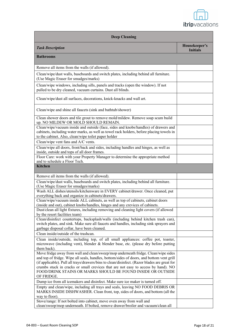

| <b>Deep Cleaning</b>                                                                                                                                                                                                                                                                                                                                                                                                                |                                  |  |
|-------------------------------------------------------------------------------------------------------------------------------------------------------------------------------------------------------------------------------------------------------------------------------------------------------------------------------------------------------------------------------------------------------------------------------------|----------------------------------|--|
| <b>Task Description</b>                                                                                                                                                                                                                                                                                                                                                                                                             | Housekeeper's<br><b>Initials</b> |  |
| <b>Bathrooms</b>                                                                                                                                                                                                                                                                                                                                                                                                                    |                                  |  |
| Remove all items from the walls (if allowed).                                                                                                                                                                                                                                                                                                                                                                                       |                                  |  |
| Clean/wipe/dust walls, baseboards and switch plates, including behind all furniture.<br>(Use Magic Eraser for smudges/marks)                                                                                                                                                                                                                                                                                                        |                                  |  |
| Clean/wipe windows, including sills, panels and tracks (open the window). If not<br>pulled to be dry cleaned, vacuum curtains. Dust all blinds.                                                                                                                                                                                                                                                                                     |                                  |  |
| Clean/wipe/dust all surfaces, decorations, knick-knacks and wall art.                                                                                                                                                                                                                                                                                                                                                               |                                  |  |
| Clean/wipe and shine all faucets (sink and bathtub/shower)                                                                                                                                                                                                                                                                                                                                                                          |                                  |  |
| Clean shower doors and tile grout to remove mold/mildew. Remove soap scum build<br>up. NO MILDEW OR MOLD SHOULD REMAIN.<br>Clean/wipe/vacuum inside and outside (face, sides and knobs/handles) of drawers and<br>cabinets, including water marks, as well as towel rack holders, before placing towels in                                                                                                                          |                                  |  |
| to the cabinet. Also, clean/wipe toilet paper holder<br>Clean/wipe vent fans and A/C vents.                                                                                                                                                                                                                                                                                                                                         |                                  |  |
| Clean/wipe all doors, front/back and sides, including handles and hinges, as well as<br>inside, outside and tops of all door frames.                                                                                                                                                                                                                                                                                                |                                  |  |
| Floor Care: work with your Property Manager to determine the appropriate method<br>and to schedule a Floor Tech.                                                                                                                                                                                                                                                                                                                    |                                  |  |
| <b>Kitchen</b>                                                                                                                                                                                                                                                                                                                                                                                                                      |                                  |  |
| Remove all items from the walls (if allowed).                                                                                                                                                                                                                                                                                                                                                                                       |                                  |  |
| Clean/wipe/dust walls, baseboards and switch plates, including behind all furniture.<br>(Use Magic Eraser for smudges/marks)                                                                                                                                                                                                                                                                                                        |                                  |  |
| Wash ALL dishes/utensils/kitchenware in EVERY cabinet/drawer. Once cleaned, put                                                                                                                                                                                                                                                                                                                                                     |                                  |  |
| everything back and organize in cabinets/drawers.<br>Clean/wipe/vacuum inside ALL cabinets, as well as top of cabinets, cabinet doors                                                                                                                                                                                                                                                                                               |                                  |  |
| (inside and out), cabinet knobs/handles, hinges and any crevices of cabinets.                                                                                                                                                                                                                                                                                                                                                       |                                  |  |
| Dust/clean all light fixtures, including removing and cleaning light covers (if allowed<br>by the resort facilities team)                                                                                                                                                                                                                                                                                                           |                                  |  |
| Clean/disinfect countertops, backsplash/walls (including behind kitchen trash can),<br>switch plates, and sink. Make sure all faucets and handles, including sink sprayers and<br>garbage disposal collar, have been cleaned.                                                                                                                                                                                                       |                                  |  |
| Clean inside/outside of the trashcan.                                                                                                                                                                                                                                                                                                                                                                                               |                                  |  |
| Clean inside/outside, including top, of all small appliances: coffee pot, toaster,                                                                                                                                                                                                                                                                                                                                                  |                                  |  |
| microwave (including vent), blender & blender base, etc. (please dry before putting<br>them back).                                                                                                                                                                                                                                                                                                                                  |                                  |  |
| Move fridge away from wall and clean/sweep/mop underneath fridge. Clean/wipe sides<br>and top of fridge. Wipe all seals, handles, bottom/sides of doors, and bottom vent grill<br>(if applicable). Pull all trays/drawers/bins to clean/disinfect. (Razor blades are great for<br>crumbs stuck in cracks or small crevices that are not easy to access by hand). NO<br>FOOD/DRINK STAINS OR MARKS SHOULD BE FOUND INSIDE OR OUTSIDE |                                  |  |
| OF FRIDGE.                                                                                                                                                                                                                                                                                                                                                                                                                          |                                  |  |
| Dump ice from all icemakers and disinfect. Make sure ice maker is turned off.                                                                                                                                                                                                                                                                                                                                                       |                                  |  |
| Empty and clean/wipe, including all trays and seals, leaving NO FOOD DEBRIS OR<br>MARKS INSIDE DISHWASHER. Clean front, top, sides of doors, and bottom (all the<br>way to floor).                                                                                                                                                                                                                                                  |                                  |  |
| Stove/range: If not bolted into cabinet, move oven away from wall and                                                                                                                                                                                                                                                                                                                                                               |                                  |  |
| clean/sweep/mop underneath. If bolted, remove drawer/broiler and vacuum/clean all                                                                                                                                                                                                                                                                                                                                                   |                                  |  |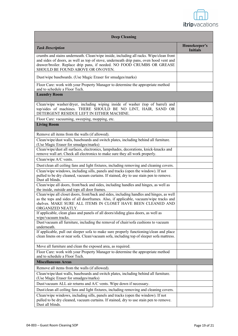

| <b>Deep Cleaning</b>                                                                                                                                                                                                                                                                           |                                  |  |
|------------------------------------------------------------------------------------------------------------------------------------------------------------------------------------------------------------------------------------------------------------------------------------------------|----------------------------------|--|
| <b>Task Description</b>                                                                                                                                                                                                                                                                        | Housekeeper's<br><b>Initials</b> |  |
| crumbs and stains underneath. Clean/wipe inside, including all racks. Wipe/clean front<br>and sides of doors, as well as top of stove, underneath drip pans, oven hood vent and<br>drawer/broiler. Replace drip pans, if needed. NO FOOD CRUMBS OR GREASE<br>SHOULD BE FOUND ABOVE OR ON OVEN. |                                  |  |
| Dust/wipe baseboards. (Use Magic Eraser for smudges/marks)                                                                                                                                                                                                                                     |                                  |  |
| Floor Care: work with your Property Manager to determine the appropriate method<br>and to schedule a Floor Tech.                                                                                                                                                                               |                                  |  |
| <b>Laundry Room</b>                                                                                                                                                                                                                                                                            |                                  |  |
| Clean/wipe washer/dryer, including wiping inside of washer (top of barrel) and<br>top/sides of machines. THERE SHOULD BE NO LINT, HAIR, SAND OR<br>DETERGENT RESIDUE LEFT IN EITHER MACHINE.                                                                                                   |                                  |  |
| Floor Care: vacuuming, sweeping, mopping, etc.                                                                                                                                                                                                                                                 |                                  |  |
| <b>Living Room</b>                                                                                                                                                                                                                                                                             |                                  |  |
| Remove all items from the walls (if allowed).                                                                                                                                                                                                                                                  |                                  |  |
| Clean/wipe/dust walls, baseboards and switch plates, including behind all furniture.<br>(Use Magic Eraser for smudges/marks)                                                                                                                                                                   |                                  |  |
| Clean/wipe/dust all surfaces, electronics, lampshades, decorations, knick-knacks and<br>remove wall art. Check all electronics to make sure they all work properly.                                                                                                                            |                                  |  |
| Clean/wipe A/C vents.                                                                                                                                                                                                                                                                          |                                  |  |
| Dust/clean all ceiling fans and light fixtures, including removing and cleaning covers.                                                                                                                                                                                                        |                                  |  |
| Clean/wipe windows, including sills, panels and tracks (open the window). If not<br>pulled to be dry cleaned, vacuum curtains. If stained, dry to use stain pen to remove.<br>Dust all blinds.                                                                                                 |                                  |  |
| Clean/wipe all doors, front/back and sides, including handles and hinges, as well as<br>the inside, outside and tops all door frames.                                                                                                                                                          |                                  |  |
| Clean/wipe all closet doors, front/back and sides, including handles and hinges, as well<br>as the tops and sides of all doorframes. Also, if applicable, vacuum/wipe tracks and<br>shelves. MAKE SURE ALL ITEMS IN CLOSET HAVE BEEN CLEANED AND<br>ORGANIZED NEATLY.                          |                                  |  |
| If applicable, clean glass and panels of all doors/sliding glass doors, as well as                                                                                                                                                                                                             |                                  |  |
| wipe/vacuum tracks.<br>Dust/vacuum all furniture, including the removal of chair/sofa cushions to vacuum                                                                                                                                                                                       |                                  |  |
| underneath.<br>If applicable, pull out sleeper sofa to make sure properly functioning/clean and place<br>clean linens on or near sofa. Clean/vacuum sofa, including top of sleeper sofa mattress.                                                                                              |                                  |  |
| Move all furniture and clean the exposed area, as required.                                                                                                                                                                                                                                    |                                  |  |
| Floor Care: work with your Property Manager to determine the appropriate method<br>and to schedule a Floor Tech.                                                                                                                                                                               |                                  |  |
| <b>Miscellaneous Areas</b>                                                                                                                                                                                                                                                                     |                                  |  |
| Remove all items from the walls (if allowed).                                                                                                                                                                                                                                                  |                                  |  |
| Clean/wipe/dust walls, baseboards and switch plates, including behind all furniture.<br>(Use Magic Eraser for smudges/marks)                                                                                                                                                                   |                                  |  |
| Dust/vacuum ALL air returns and A/C vents. Wipe down if necessary.                                                                                                                                                                                                                             |                                  |  |
| Dust/clean all ceiling fans and light fixtures, including removing and cleaning covers.                                                                                                                                                                                                        |                                  |  |
| Clean/wipe windows, including sills, panels and tracks (open the window). If not<br>pulled to be dry cleaned, vacuum curtains. If stained, dry to use stain pen to remove.<br>Dust all blinds.                                                                                                 |                                  |  |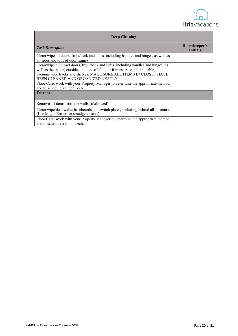

| <b>Deep Cleaning</b>                                                                                                                                                                                                                                                              |                                  |  |
|-----------------------------------------------------------------------------------------------------------------------------------------------------------------------------------------------------------------------------------------------------------------------------------|----------------------------------|--|
| <b>Task Description</b>                                                                                                                                                                                                                                                           | Housekeeper's<br><b>Initials</b> |  |
| Clean/wipe all doors, front/back and sides, including handles and hinges, as well as<br>all sides and tops of door frames.                                                                                                                                                        |                                  |  |
| Clean/wipe all closet doors, front/back and sides, including handles and hinges, as<br>well as the inside, outside, and tops of all door frames. Also, if applicable,<br>vacuum/wipe tracks and shelves. MAKE SURE ALL ITEMS IN CLOSET HAVE<br>BEEN CLEANED AND ORGANIZED NEATLY. |                                  |  |
| Floor Care: work with your Property Manager to determine the appropriate method<br>and to schedule a Floor Tech.                                                                                                                                                                  |                                  |  |
| <b>Entrance</b>                                                                                                                                                                                                                                                                   |                                  |  |
| Remove all items from the walls (if allowed).                                                                                                                                                                                                                                     |                                  |  |
| Clean/wipe/dust walls, baseboards and switch plates, including behind all furniture.<br>(Use Magic Eraser for smudges/marks)                                                                                                                                                      |                                  |  |
| Floor Care: work with your Property Manager to determine the appropriate method<br>and to schedule a Floor Tech.                                                                                                                                                                  |                                  |  |